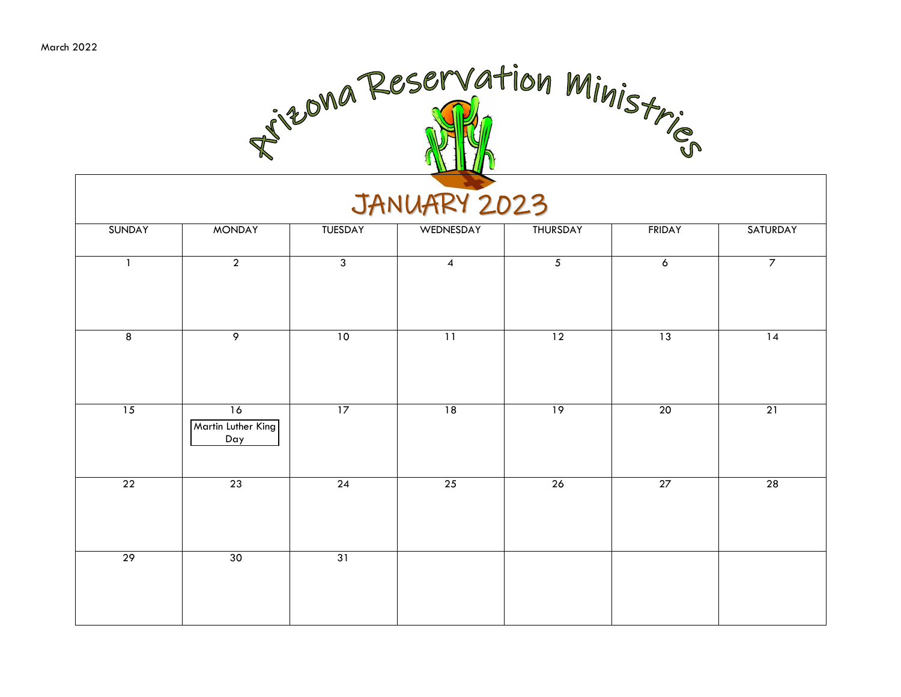

| <b>SUNDAY</b>   | <b>MONDAY</b>                   | <b>TUESDAY</b>  | WEDNESDAY       | THURSDAY       | FRIDAY          | SATURDAY        |
|-----------------|---------------------------------|-----------------|-----------------|----------------|-----------------|-----------------|
| $\mathbf{1}$    | $\overline{2}$                  | $\overline{3}$  | $\overline{4}$  | $\overline{5}$ | $\overline{6}$  | $\overline{7}$  |
| $\overline{8}$  | $\overline{9}$                  | 10              | $\overline{11}$ | 12             | 13              | 14              |
| 15              | 16<br>Martin Luther King<br>Day | 17              | 18              | 19             | 20              | $\overline{21}$ |
| $\overline{22}$ | 23                              | $\overline{24}$ | $\overline{25}$ | 26             | $\overline{27}$ | $\overline{28}$ |
| 29              | 30                              | 31              |                 |                |                 |                 |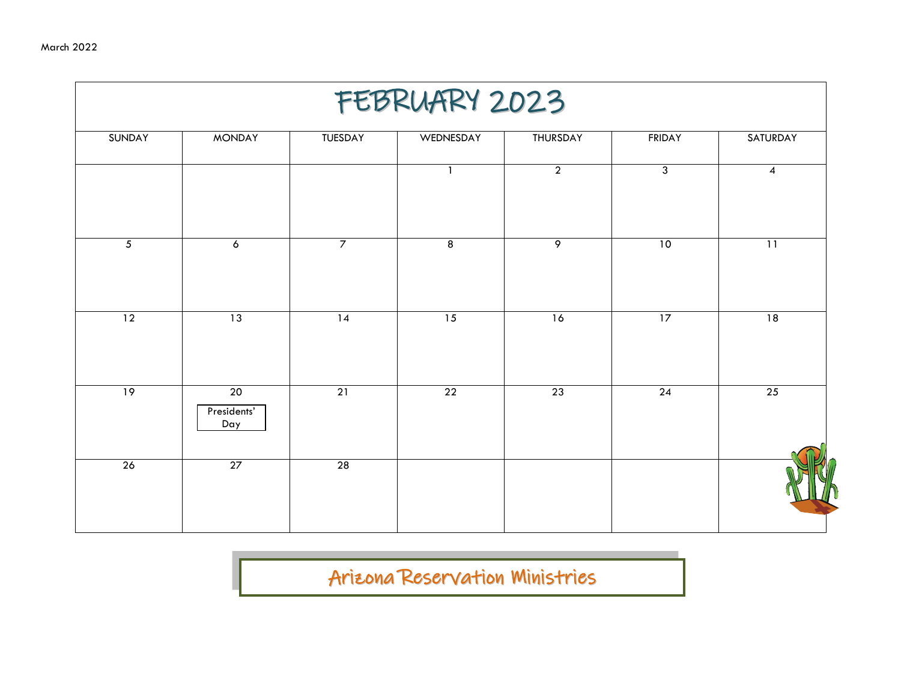| FEBRUARY 2023   |                          |                 |                         |                 |                |                  |  |  |
|-----------------|--------------------------|-----------------|-------------------------|-----------------|----------------|------------------|--|--|
| SUNDAY          | <b>MONDAY</b>            | TUESDAY         | WEDNESDAY               | THURSDAY        | <b>FRIDAY</b>  | SATURDAY         |  |  |
|                 |                          |                 |                         | $\overline{2}$  | $\overline{3}$ | $\boldsymbol{4}$ |  |  |
| $\overline{5}$  | $\overline{6}$           | $\overline{7}$  | $\overline{\mathbf{8}}$ | $\overline{9}$  | 10             | $\overline{11}$  |  |  |
| $\overline{12}$ | 13                       | 14              | $\overline{15}$         | 16              | 17             | 18               |  |  |
| 19              | 20<br>Presidents'<br>Day | $\overline{21}$ | $\overline{22}$         | $\overline{23}$ | 24             | 25               |  |  |
| 26              | 27                       | 28              |                         |                 |                |                  |  |  |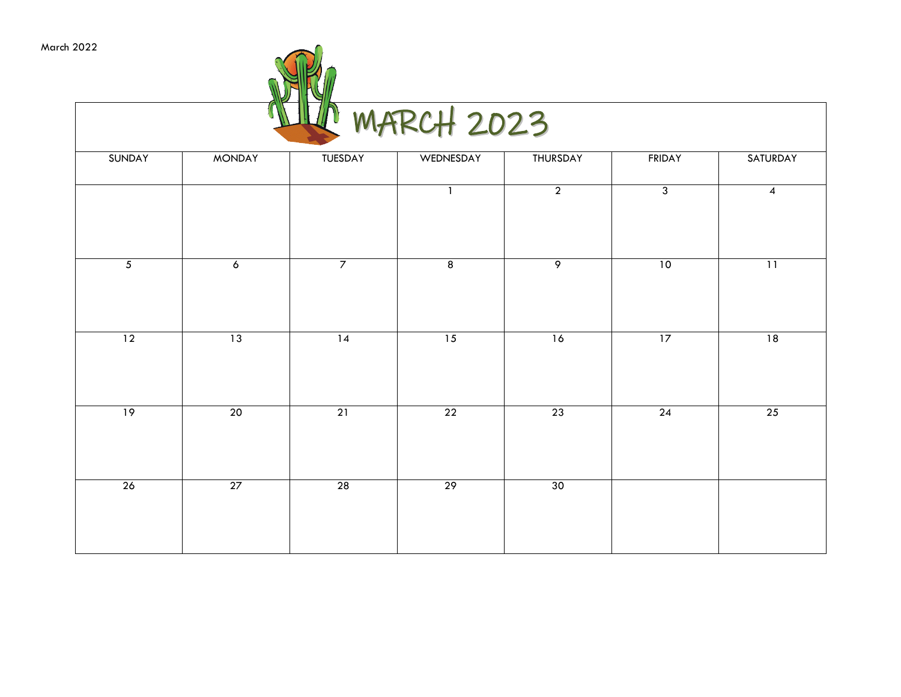| IN | <b>MARCH 2023</b> |  |
|----|-------------------|--|

| SUNDAY         | <b>MONDAY</b>  | TUESDAY        | WEDNESDAY      | THURSDAY        | <b>FRIDAY</b>           | SATURDAY       |
|----------------|----------------|----------------|----------------|-----------------|-------------------------|----------------|
|                |                |                | $\mathbf{1}$   | $\overline{2}$  | $\overline{\mathbf{3}}$ | $\overline{4}$ |
| $\overline{5}$ | $\overline{6}$ | $\overline{7}$ | $\overline{8}$ | $\overline{9}$  | 10                      | 11             |
| 12             | 13             | 14             | 15             | 16              | 17                      | 18             |
| 19             | 20             | 21             | 22             | 23              | 24                      | 25             |
| 26             | 27             | 28             | 29             | 30 <sup>2</sup> |                         |                |
|                |                |                |                |                 |                         |                |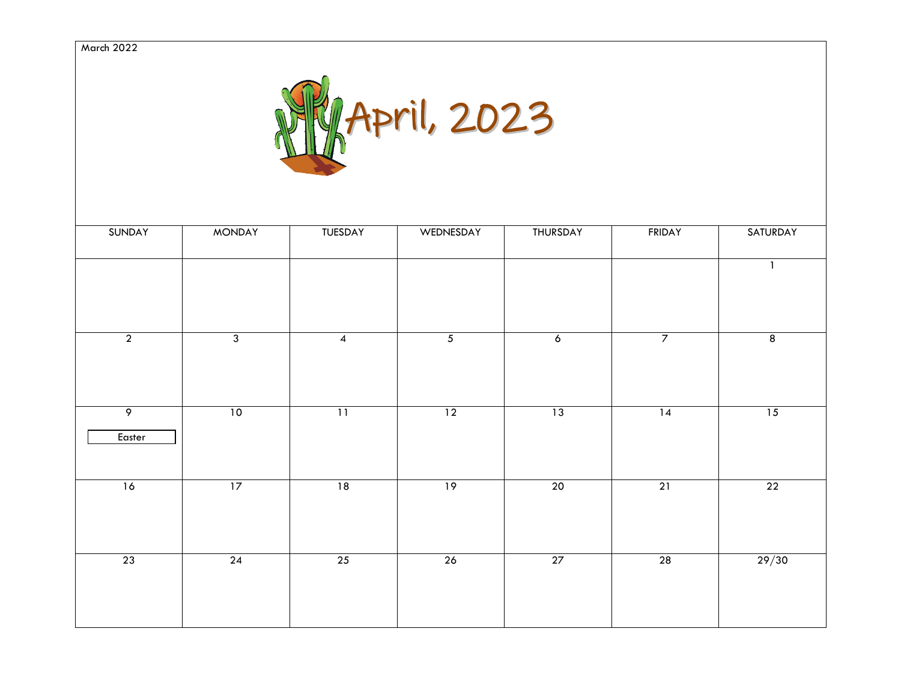March 2022



| SUNDAY                      | <b>MONDAY</b>  | TUESDAY        | WEDNESDAY      | THURSDAY       | FRIDAY          | SATURDAY       |
|-----------------------------|----------------|----------------|----------------|----------------|-----------------|----------------|
|                             |                |                |                |                |                 | $\mathbf{1}$   |
| $\overline{2}$              | $\overline{3}$ | $\overline{4}$ | $\overline{5}$ | $\overline{6}$ | $\overline{7}$  | $\overline{8}$ |
| $\overline{9}$<br>$E$ aster | 10             | 11             | 12             | 13             | $\overline{14}$ | 15             |
| 16                          | 17             | 18             | 19             | 20             | 21              | 22             |
| 23                          | 24             | 25             | 26             | 27             | 28              | 29/30          |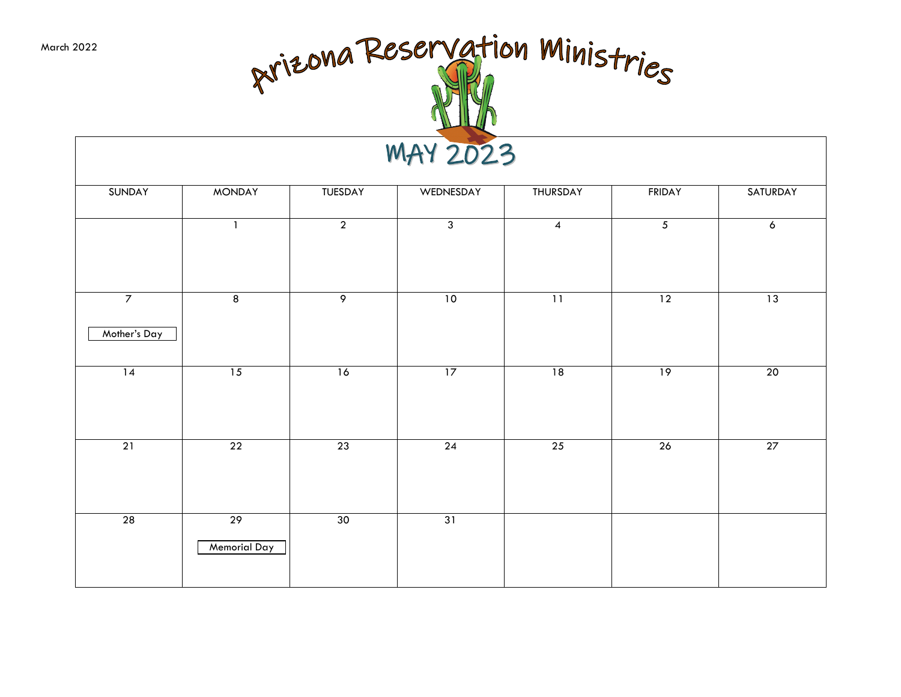March 2022



| SUNDAY          | <b>MONDAY</b>      | TUESDAY        | WEDNESDAY      | THURSDAY        | FRIDAY         | SATURDAY       |
|-----------------|--------------------|----------------|----------------|-----------------|----------------|----------------|
|                 | $\mathbf{1}$       | $\overline{2}$ | $\overline{3}$ | $\overline{4}$  | $\overline{5}$ | $\overline{6}$ |
| $\overline{7}$  | $\overline{\bf 8}$ | $\overline{9}$ | 10             | $\overline{11}$ | 12             | 13             |
| Mother's Day    |                    |                |                |                 |                |                |
| $\overline{14}$ | 15                 | 16             | 17             | 18              | 19             | 20             |
| 21              | 22                 | 23             | 24             | 25              | 26             | 27             |
| 28              | 29<br>Memorial Day | 30             | 31             |                 |                |                |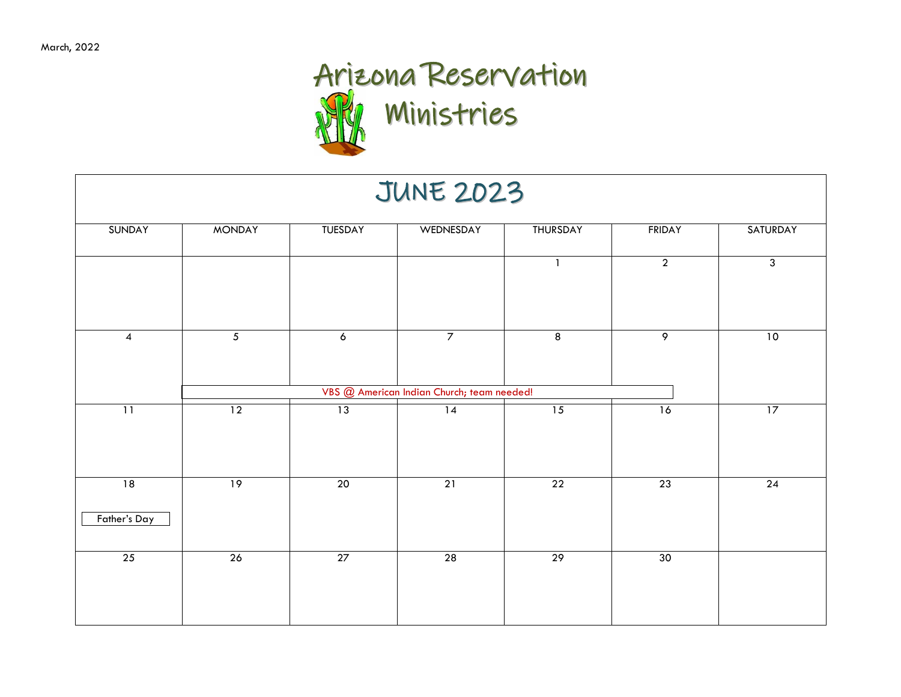|                          | <b>JUNE 2023</b> |                     |                                            |                |                |                 |  |  |  |
|--------------------------|------------------|---------------------|--------------------------------------------|----------------|----------------|-----------------|--|--|--|
| <b>SUNDAY</b>            | <b>MONDAY</b>    | TUESDAY             | WEDNESDAY                                  | THURSDAY       | <b>FRIDAY</b>  | SATURDAY        |  |  |  |
|                          |                  |                     |                                            |                | $\overline{2}$ | $\overline{3}$  |  |  |  |
| $\overline{\mathcal{A}}$ | $\overline{5}$   | $\ddot{\mathbf{6}}$ | $\overline{7}$                             | $\overline{8}$ | $\overline{9}$ | 10              |  |  |  |
|                          |                  |                     | VBS @ American Indian Church; team needed! |                |                |                 |  |  |  |
| $\overline{11}$          | $\overline{12}$  | 13                  | $\overline{14}$                            | 15             | 16             | 17              |  |  |  |
| 18<br>Father's Day       | 19               | 20                  | $\overline{21}$                            | 22             | 23             | $\overline{24}$ |  |  |  |
| 25                       | 26               | 27                  | 28                                         | 29             | 30             |                 |  |  |  |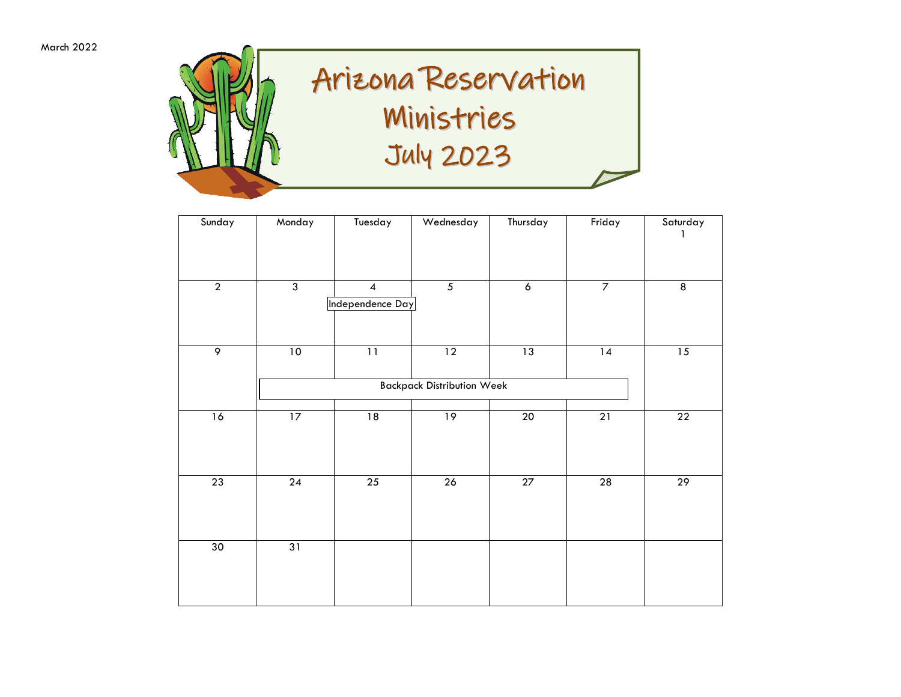

| Sunday          | Monday          | Tuesday                                     | Wednesday                         | Thursday        | Friday          | Saturday                |
|-----------------|-----------------|---------------------------------------------|-----------------------------------|-----------------|-----------------|-------------------------|
| $\overline{2}$  | $\overline{3}$  | $\overline{\mathbf{4}}$<br>Independence Day | $\overline{5}$                    | $\overline{6}$  | $\overline{7}$  | $\overline{\mathbf{8}}$ |
| $\overline{9}$  | $10\,$          | $11$                                        | $\overline{12}$                   | $\overline{13}$ | $\sqrt{14}$     | $15\,$                  |
|                 |                 |                                             | <b>Backpack Distribution Week</b> |                 |                 |                         |
| 16              | 17              | 18                                          | 19                                | 20              | 21              | $\overline{22}$         |
| $\overline{23}$ | $\overline{24}$ | $\overline{25}$                             | 26                                | $\overline{27}$ | $\overline{28}$ | $\overline{29}$         |
| 30              | 31              |                                             |                                   |                 |                 |                         |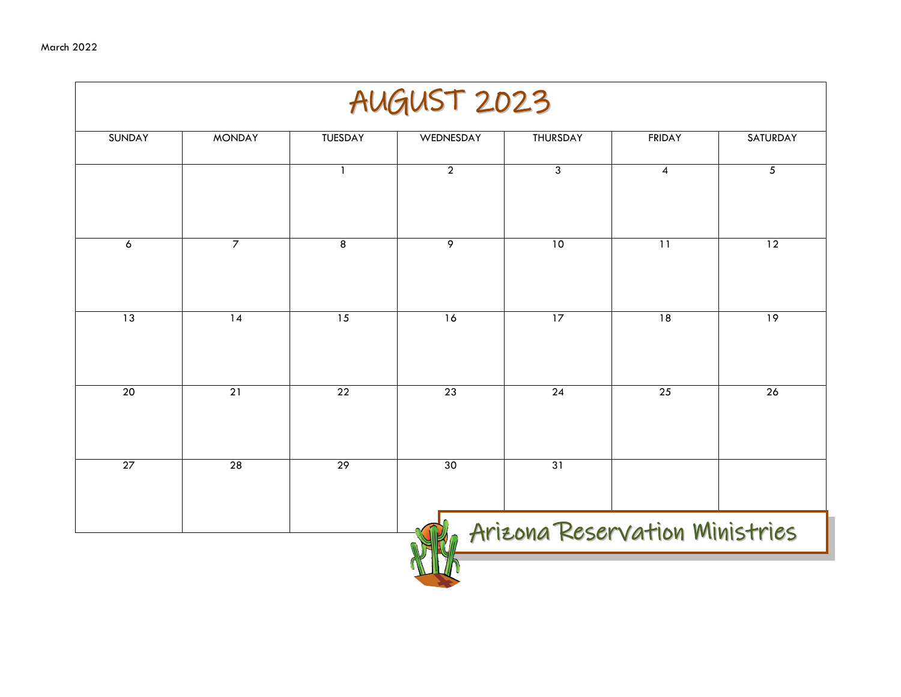| <b>SUNDAY</b>   | <b>MONDAY</b>   | <b>TUESDAY</b>  | WEDNESDAY       | <b>THURSDAY</b>                | <b>FRIDAY</b>   | <b>SATURDAY</b> |
|-----------------|-----------------|-----------------|-----------------|--------------------------------|-----------------|-----------------|
|                 |                 | $\mathbf{1}$    | $\overline{2}$  | $\overline{3}$                 | $\overline{4}$  | 5               |
| 6               | $\overline{7}$  | 8               | $\overline{9}$  | 10                             | $\overline{11}$ | 12              |
| 13              | $\overline{14}$ | 15              | 16              | 17                             | $\overline{18}$ | $\overline{19}$ |
| $\overline{20}$ | $\overline{21}$ | $\overline{22}$ | $\overline{23}$ | $\overline{24}$                | $\overline{25}$ | $\overline{26}$ |
| 27              | 28              | $\overline{29}$ | 30              | 31                             |                 |                 |
|                 |                 |                 |                 | Arizona Reservation Ministries |                 |                 |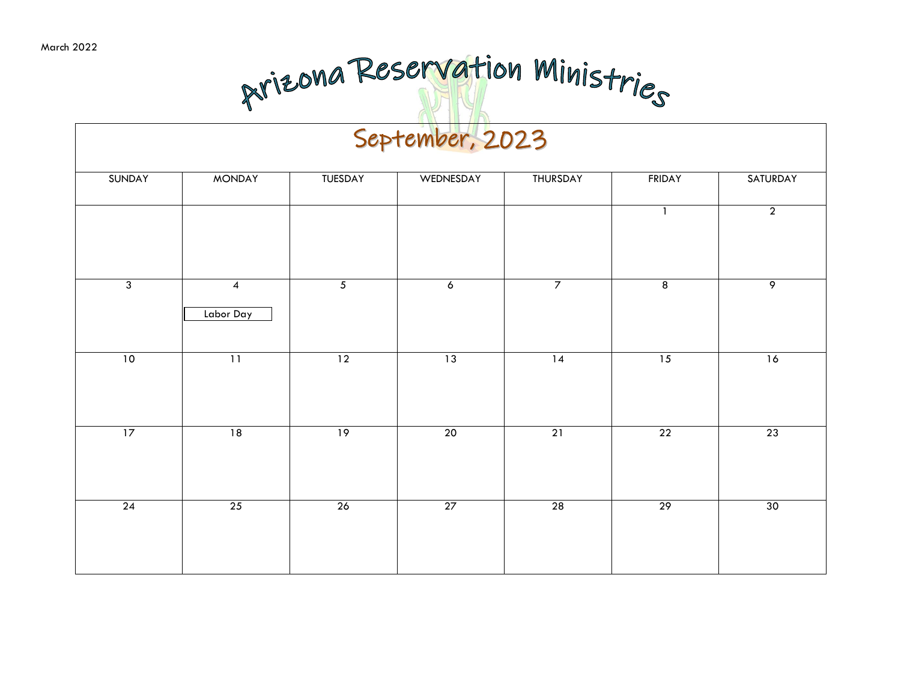#### September, 2023

| <b>MONDAY</b>               | TUESDAY         | WEDNESDAY      | THURSDAY        | <b>FRIDAY</b>  | SATURDAY       |
|-----------------------------|-----------------|----------------|-----------------|----------------|----------------|
|                             |                 |                |                 | $\mathbf{1}$   | $\overline{2}$ |
| $\overline{4}$<br>Labor Day | $\overline{5}$  | $\overline{6}$ | $\overline{7}$  | $\overline{8}$ | $\overline{9}$ |
| 11                          | $\overline{12}$ | 13             | $\overline{14}$ | 15             | 16             |
| 18                          | 19              | 20             | 21              | 22             | 23             |
| 25                          | 26              | 27             | 28              | 29             | 30             |
|                             |                 |                |                 |                |                |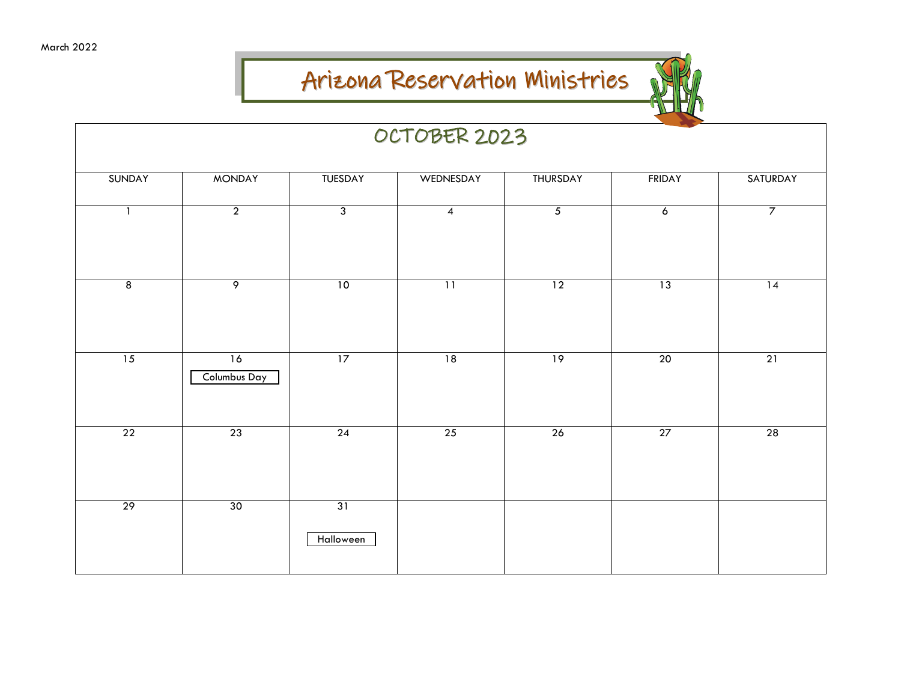

|                 |                           |                 | OCTOBER 2023             |                 |                 |                 |
|-----------------|---------------------------|-----------------|--------------------------|-----------------|-----------------|-----------------|
| SUNDAY          | <b>MONDAY</b>             | TUESDAY         | WEDNESDAY                | THURSDAY        | <b>FRIDAY</b>   | SATURDAY        |
| $\mathbf{1}$    | $\overline{2}$            | $\overline{3}$  | $\overline{\mathcal{A}}$ | $\overline{5}$  | $\overline{6}$  | $\overline{7}$  |
| $\overline{8}$  | $\overline{9}$            | 10              | $\overline{11}$          | $\overline{12}$ | 13              | $\overline{14}$ |
| $\overline{15}$ | 16<br><b>Columbus Day</b> | 17              | 18                       | 19              | $\overline{20}$ | 21              |
| 22              | 23                        | 24              | 25                       | 26              | 27              | $\overline{28}$ |
| 29              | 30                        | 31<br>Halloween |                          |                 |                 |                 |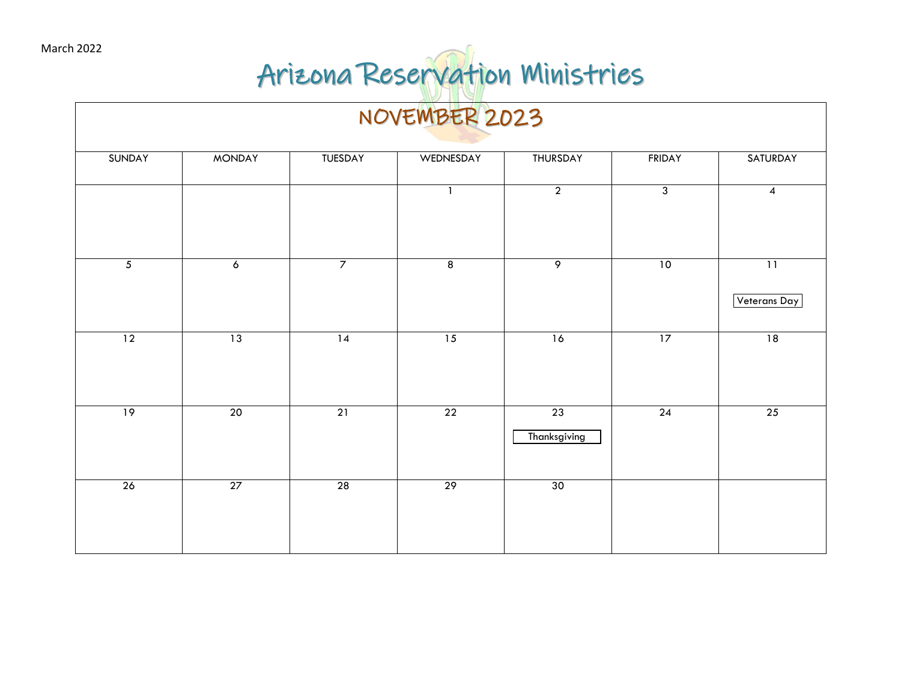|                 |                |                 | NOVEMBER 2023            |                                 |                 |                                 |
|-----------------|----------------|-----------------|--------------------------|---------------------------------|-----------------|---------------------------------|
| <b>SUNDAY</b>   | <b>MONDAY</b>  | TUESDAY         | WEDNESDAY                | THURSDAY                        | FRIDAY          | SATURDAY                        |
|                 |                |                 | $\overline{\phantom{a}}$ | $\overline{2}$                  | $\overline{3}$  | $\pmb{4}$                       |
| $\overline{5}$  | $\overline{6}$ | $\overline{7}$  | $\overline{8}$           | $\overline{9}$                  | 10              | $\overline{11}$<br>Veterans Day |
| $\overline{12}$ | 13             | $\overline{14}$ | 15                       | 16                              | 17              | 18                              |
| 19              | 20             | 21              | 22                       | $\overline{23}$<br>Thanksgiving | $\overline{24}$ | 25                              |
| 26              | 27             | 28              | 29                       | 30                              |                 |                                 |